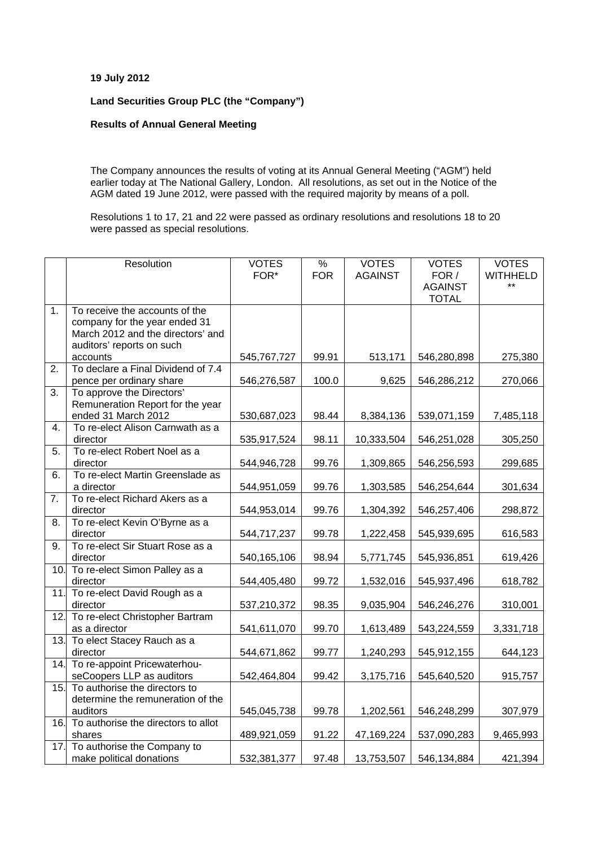## **19 July 2012**

## **Land Securities Group PLC (the "Company")**

## **Results of Annual General Meeting**

The Company announces the results of voting at its Annual General Meeting ("AGM") held earlier today at The National Gallery, London. All resolutions, as set out in the Notice of the AGM dated 19 June 2012, were passed with the required majority by means of a poll.

Resolutions 1 to 17, 21 and 22 were passed as ordinary resolutions and resolutions 18 to 20 were passed as special resolutions.

|                  | Resolution                                 | <b>VOTES</b> | $\frac{0}{6}$ | <b>VOTES</b>   | <b>VOTES</b>   | <b>VOTES</b>    |
|------------------|--------------------------------------------|--------------|---------------|----------------|----------------|-----------------|
|                  |                                            | FOR*         | <b>FOR</b>    | <b>AGAINST</b> | FOR /          | <b>WITHHELD</b> |
|                  |                                            |              |               |                | <b>AGAINST</b> | **              |
|                  |                                            |              |               |                | <b>TOTAL</b>   |                 |
| 1.               | To receive the accounts of the             |              |               |                |                |                 |
|                  | company for the year ended 31              |              |               |                |                |                 |
|                  | March 2012 and the directors' and          |              |               |                |                |                 |
|                  | auditors' reports on such                  |              |               |                |                |                 |
|                  | accounts                                   | 545,767,727  | 99.91         | 513,171        | 546,280,898    | 275,380         |
| 2.               | To declare a Final Dividend of 7.4         |              |               |                |                |                 |
|                  | pence per ordinary share                   | 546,276,587  | 100.0         | 9,625          | 546,286,212    | 270,066         |
| 3.               | To approve the Directors'                  |              |               |                |                |                 |
|                  | Remuneration Report for the year           |              |               |                |                |                 |
|                  | ended 31 March 2012                        | 530,687,023  | 98.44         | 8,384,136      | 539,071,159    | 7,485,118       |
| 4.               | To re-elect Alison Carnwath as a           |              |               |                |                |                 |
|                  | director                                   | 535,917,524  | 98.11         | 10,333,504     | 546,251,028    | 305,250         |
| 5.               | To re-elect Robert Noel as a               |              |               |                |                |                 |
|                  | director                                   | 544,946,728  | 99.76         | 1,309,865      | 546,256,593    | 299,685         |
| 6.               | To re-elect Martin Greenslade as           |              |               |                |                |                 |
| $\overline{7}$ . | a director                                 | 544,951,059  | 99.76         | 1,303,585      | 546,254,644    | 301,634         |
|                  | To re-elect Richard Akers as a             |              |               |                |                |                 |
| 8.               | director<br>To re-elect Kevin O'Byrne as a | 544,953,014  | 99.76         | 1,304,392      | 546,257,406    | 298,872         |
|                  | director                                   | 544,717,237  | 99.78         | 1,222,458      | 545,939,695    | 616,583         |
| $\overline{9}$ . | To re-elect Sir Stuart Rose as a           |              |               |                |                |                 |
|                  | director                                   | 540,165,106  | 98.94         | 5,771,745      | 545,936,851    | 619,426         |
| 10.              | To re-elect Simon Palley as a              |              |               |                |                |                 |
|                  | director                                   | 544,405,480  | 99.72         | 1,532,016      | 545,937,496    | 618,782         |
| 11.              | To re-elect David Rough as a               |              |               |                |                |                 |
|                  | director                                   | 537,210,372  | 98.35         | 9,035,904      | 546,246,276    | 310,001         |
| 12.              | To re-elect Christopher Bartram            |              |               |                |                |                 |
|                  | as a director                              | 541,611,070  | 99.70         | 1,613,489      | 543,224,559    | 3,331,718       |
| 13.              | To elect Stacey Rauch as a                 |              |               |                |                |                 |
|                  | director                                   | 544,671,862  | 99.77         | 1,240,293      | 545,912,155    | 644,123         |
| 14.              | To re-appoint Pricewaterhou-               |              |               |                |                |                 |
|                  | seCoopers LLP as auditors                  | 542,464,804  | 99.42         | 3,175,716      | 545,640,520    | 915,757         |
| 15.              | To authorise the directors to              |              |               |                |                |                 |
|                  | determine the remuneration of the          |              |               |                |                |                 |
|                  | auditors                                   | 545,045,738  | 99.78         | 1,202,561      | 546,248,299    | 307,979         |
| 16.              | To authorise the directors to allot        |              |               |                |                |                 |
|                  | shares                                     | 489,921,059  | 91.22         | 47,169,224     | 537,090,283    | 9,465,993       |
| 17.              | To authorise the Company to                |              |               |                |                |                 |
|                  | make political donations                   | 532,381,377  | 97.48         | 13,753,507     | 546,134,884    | 421,394         |